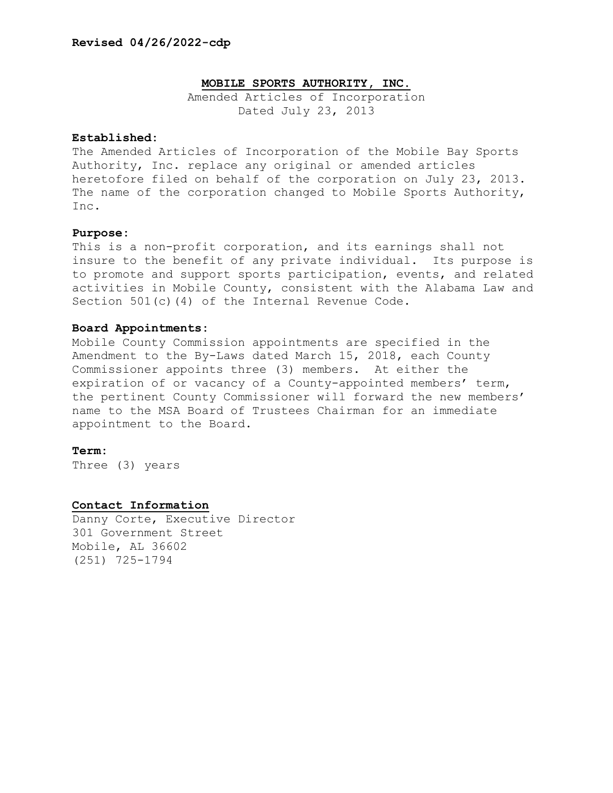## **MOBILE SPORTS AUTHORITY, INC.**

Amended Articles of Incorporation Dated July 23, 2013

# **Established:**

The Amended Articles of Incorporation of the Mobile Bay Sports Authority, Inc. replace any original or amended articles heretofore filed on behalf of the corporation on July 23, 2013. The name of the corporation changed to Mobile Sports Authority, Inc.

## **Purpose:**

This is a non-profit corporation, and its earnings shall not insure to the benefit of any private individual. Its purpose is to promote and support sports participation, events, and related activities in Mobile County, consistent with the Alabama Law and Section 501(c)(4) of the Internal Revenue Code.

## **Board Appointments:**

Mobile County Commission appointments are specified in the Amendment to the By-Laws dated March 15, 2018, each County Commissioner appoints three (3) members. At either the expiration of or vacancy of a County-appointed members' term, the pertinent County Commissioner will forward the new members' name to the MSA Board of Trustees Chairman for an immediate appointment to the Board.

#### **Term:**

Three (3) years

### **Contact Information**

Danny Corte, Executive Director 301 Government Street Mobile, AL 36602 (251) 725-1794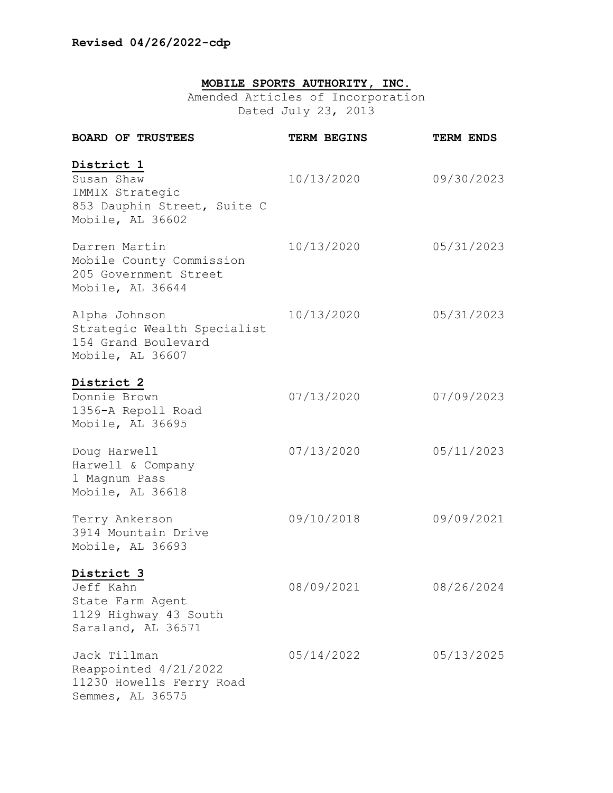# **MOBILE SPORTS AUTHORITY, INC.**

Amended Articles of Incorporation Dated July 23, 2013

| <b>BOARD OF TRUSTEES</b>                                                                       | <b>TERM BEGINS</b> | TERM ENDS  |
|------------------------------------------------------------------------------------------------|--------------------|------------|
| District 1<br>Susan Shaw<br>IMMIX Strategic<br>853 Dauphin Street, Suite C<br>Mobile, AL 36602 | 10/13/2020         | 09/30/2023 |
| Darren Martin<br>Mobile County Commission<br>205 Government Street<br>Mobile, AL 36644         | 10/13/2020         | 05/31/2023 |
| Alpha Johnson<br>Strategic Wealth Specialist<br>154 Grand Boulevard<br>Mobile, AL 36607        | 10/13/2020         | 05/31/2023 |
| District 2<br>Donnie Brown<br>1356-A Repoll Road<br>Mobile, AL 36695                           | 07/13/2020         | 07/09/2023 |
| Doug Harwell<br>Harwell & Company<br>1 Magnum Pass<br>Mobile, AL 36618                         | 07/13/2020         | 05/11/2023 |
| Terry Ankerson<br>3914 Mountain Drive<br>Mobile, AL 36693                                      | 09/10/2018         | 09/09/2021 |
| District 3<br>Jeff Kahn<br>State Farm Agent<br>1129 Highway 43 South<br>Saraland, AL 36571     | 08/09/2021         | 08/26/2024 |
| Jack Tillman<br>Reappointed 4/21/2022<br>11230 Howells Ferry Road<br>Semmes, AL 36575          | 05/14/2022         | 05/13/2025 |